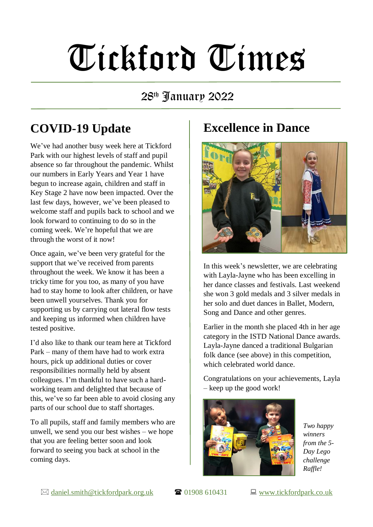# Tickford Times

#### 28th January 2022

# **COVID-19 Update**

We've had another busy week here at Tickford Park with our highest levels of staff and pupil absence so far throughout the pandemic. Whilst our numbers in Early Years and Year 1 have begun to increase again, children and staff in Key Stage 2 have now been impacted. Over the last few days, however, we've been pleased to welcome staff and pupils back to school and we look forward to continuing to do so in the coming week. We're hopeful that we are through the worst of it now!

Once again, we've been very grateful for the support that we've received from parents throughout the week. We know it has been a tricky time for you too, as many of you have had to stay home to look after children, or have been unwell yourselves. Thank you for supporting us by carrying out lateral flow tests and keeping us informed when children have tested positive.

I'd also like to thank our team here at Tickford Park – many of them have had to work extra hours, pick up additional duties or cover responsibilities normally held by absent colleagues. I'm thankful to have such a hardworking team and delighted that because of this, we've so far been able to avoid closing any parts of our school due to staff shortages.

To all pupils, staff and family members who are unwell, we send you our best wishes – we hope that you are feeling better soon and look forward to seeing you back at school in the coming days.

#### **Excellence in Dance**



In this week's newsletter, we are celebrating with Layla-Jayne who has been excelling in her dance classes and festivals. Last weekend she won 3 gold medals and 3 silver medals in her solo and duet dances in Ballet, Modern, Song and Dance and other genres.

Earlier in the month she placed 4th in her age category in the ISTD National Dance awards. Layla-Jayne danced a traditional Bulgarian folk dance (see above) in this competition, which celebrated world dance.

Congratulations on your achievements, Layla – keep up the good work!



*Two happy winners from the 5- Day Lego challenge Raffle!*